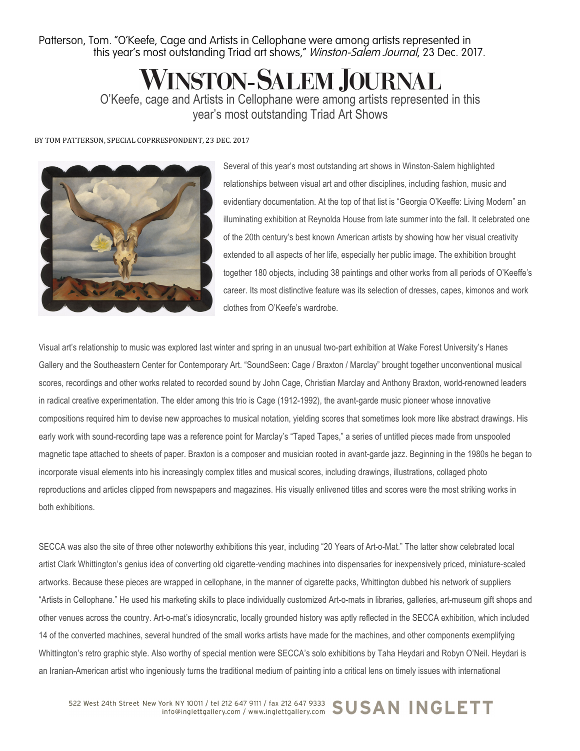Patterson, Tom. "O'Keefe, Cage and Artists in Cellophane were among artists represented in this year's most outstanding Triad art shows," Winston-Salem Journal, 23 Dec. 2017.

**WINSTON-SALEM JOURNAL** 

O'Keefe, cage and Artists in Cellophane were among artists represented in this year's most outstanding Triad Art Shows

BY TOM PATTERSON, SPECIAL COPRRESPONDENT, 23 DEC. 2017



Several of this year's most outstanding art shows in Winston-Salem highlighted relationships between visual art and other disciplines, including fashion, music and evidentiary documentation. At the top of that list is "Georgia O'Keeffe: Living Modern" an illuminating exhibition at Reynolda House from late summer into the fall. It celebrated one of the 20th century's best known American artists by showing how her visual creativity extended to all aspects of her life, especially her public image. The exhibition brought together 180 objects, including 38 paintings and other works from all periods of O'Keeffe's career. Its most distinctive feature was its selection of dresses, capes, kimonos and work clothes from O'Keefe's wardrobe.

Visual art's relationship to music was explored last winter and spring in an unusual two-part exhibition at Wake Forest University's Hanes Gallery and the Southeastern Center for Contemporary Art. "SoundSeen: Cage / Braxton / Marclay" brought together unconventional musical scores, recordings and other works related to recorded sound by John Cage, Christian Marclay and Anthony Braxton, world-renowned leaders in radical creative experimentation. The elder among this trio is Cage (1912-1992), the avant-garde music pioneer whose innovative compositions required him to devise new approaches to musical notation, yielding scores that sometimes look more like abstract drawings. His early work with sound-recording tape was a reference point for Marclay's "Taped Tapes," a series of untitled pieces made from unspooled magnetic tape attached to sheets of paper. Braxton is a composer and musician rooted in avant-garde jazz. Beginning in the 1980s he began to incorporate visual elements into his increasingly complex titles and musical scores, including drawings, illustrations, collaged photo reproductions and articles clipped from newspapers and magazines. His visually enlivened titles and scores were the most striking works in both exhibitions.

SECCA was also the site of three other noteworthy exhibitions this year, including "20 Years of Art-o-Mat." The latter show celebrated local artist Clark Whittington's genius idea of converting old cigarette-vending machines into dispensaries for inexpensively priced, miniature-scaled artworks. Because these pieces are wrapped in cellophane, in the manner of cigarette packs, Whittington dubbed his network of suppliers "Artists in Cellophane." He used his marketing skills to place individually customized Art-o-mats in libraries, galleries, art-museum gift shops and other venues across the country. Art-o-mat's idiosyncratic, locally grounded history was aptly reflected in the SECCA exhibition, which included 14 of the converted machines, several hundred of the small works artists have made for the machines, and other components exemplifying Whittington's retro graphic style. Also worthy of special mention were SECCA's solo exhibitions by Taha Heydari and Robyn O'Neil. Heydari is an Iranian-American artist who ingeniously turns the traditional medium of painting into a critical lens on timely issues with international